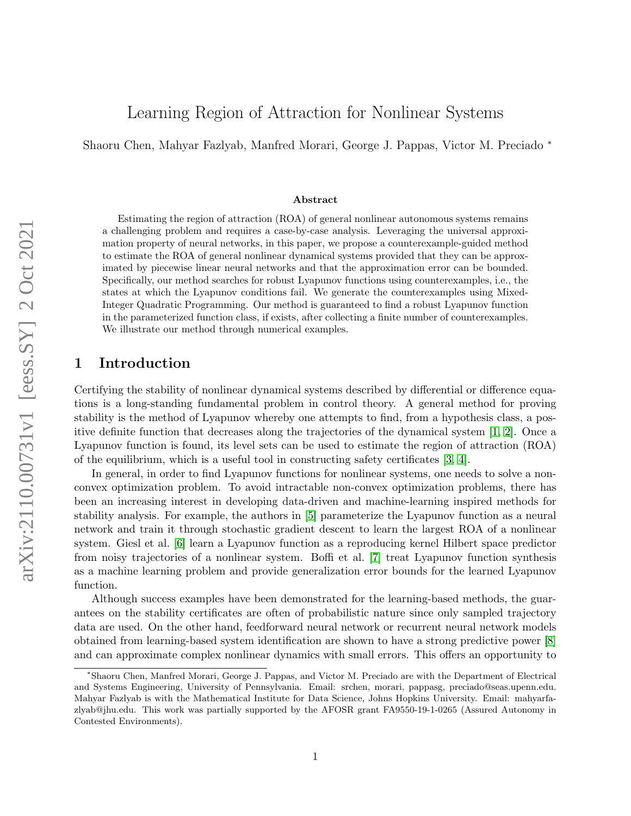# Learning Region of Attraction for Nonlinear Systems

Shaoru Chen, Mahyar Fazlyab, Manfred Morari, George J. Pappas, Victor M. Preciado <sup>∗</sup>

#### Abstract

Estimating the region of attraction (ROA) of general nonlinear autonomous systems remains a challenging problem and requires a case-by-case analysis. Leveraging the universal approximation property of neural networks, in this paper, we propose a counterexample-guided method to estimate the ROA of general nonlinear dynamical systems provided that they can be approximated by piecewise linear neural networks and that the approximation error can be bounded. Specifically, our method searches for robust Lyapunov functions using counterexamples, i.e., the states at which the Lyapunov conditions fail. We generate the counterexamples using Mixed-Integer Quadratic Programming. Our method is guaranteed to find a robust Lyapunov function in the parameterized function class, if exists, after collecting a finite number of counterexamples. We illustrate our method through numerical examples.

# 1 Introduction

Certifying the stability of nonlinear dynamical systems described by differential or difference equations is a long-standing fundamental problem in control theory. A general method for proving stability is the method of Lyapunov whereby one attempts to find, from a hypothesis class, a positive definite function that decreases along the trajectories of the dynamical system [\[1,](#page-12-0) [2\]](#page-12-1). Once a Lyapunov function is found, its level sets can be used to estimate the region of attraction (ROA) of the equilibrium, which is a useful tool in constructing safety certificates [\[3,](#page-12-2) [4\]](#page-12-3).

In general, in order to find Lyapunov functions for nonlinear systems, one needs to solve a nonconvex optimization problem. To avoid intractable non-convex optimization problems, there has been an increasing interest in developing data-driven and machine-learning inspired methods for stability analysis. For example, the authors in [\[5\]](#page-12-4) parameterize the Lyapunov function as a neural network and train it through stochastic gradient descent to learn the largest ROA of a nonlinear system. Giesl et al. [\[6\]](#page-12-5) learn a Lyapunov function as a reproducing kernel Hilbert space predictor from noisy trajectories of a nonlinear system. Boffi et al. [\[7\]](#page-12-6) treat Lyapunov function synthesis as a machine learning problem and provide generalization error bounds for the learned Lyapunov function.

Although success examples have been demonstrated for the learning-based methods, the guarantees on the stability certificates are often of probabilistic nature since only sampled trajectory data are used. On the other hand, feedforward neural network or recurrent neural network models obtained from learning-based system identification are shown to have a strong predictive power [\[8\]](#page-12-7) and can approximate complex nonlinear dynamics with small errors. This offers an opportunity to

<sup>∗</sup>Shaoru Chen, Manfred Morari, George J. Pappas, and Victor M. Preciado are with the Department of Electrical and Systems Engineering, University of Pennsylvania. Email: srchen, morari, pappasg, preciado@seas.upenn.edu. Mahyar Fazlyab is with the Mathematical Institute for Data Science, Johns Hopkins University. Email: mahyarfazlyab@jhu.edu. This work was partially supported by the AFOSR grant FA9550-19-1-0265 (Assured Autonomy in Contested Environments).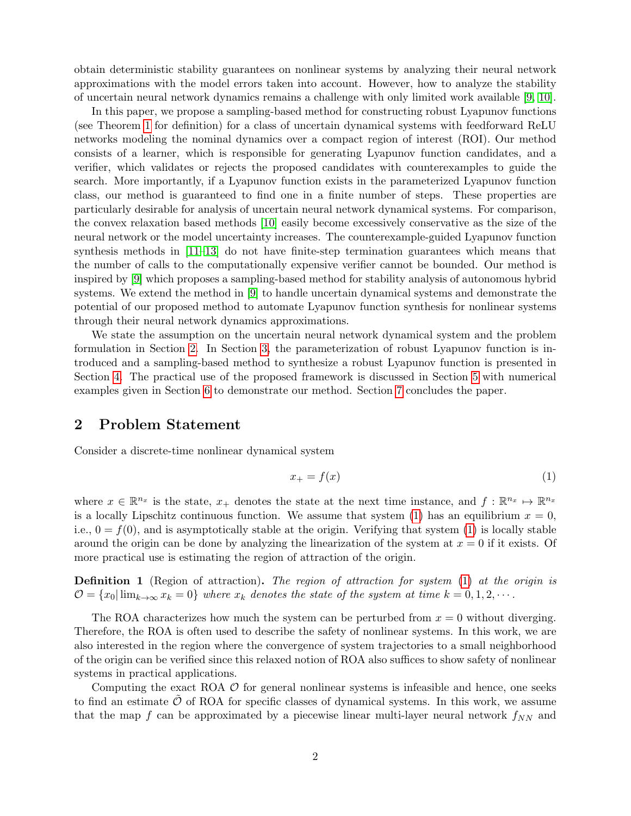obtain deterministic stability guarantees on nonlinear systems by analyzing their neural network approximations with the model errors taken into account. However, how to analyze the stability of uncertain neural network dynamics remains a challenge with only limited work available [\[9,](#page-12-8) [10\]](#page-12-9).

In this paper, we propose a sampling-based method for constructing robust Lyapunov functions (see Theorem [1](#page-3-0) for definition) for a class of uncertain dynamical systems with feedforward ReLU networks modeling the nominal dynamics over a compact region of interest (ROI). Our method consists of a learner, which is responsible for generating Lyapunov function candidates, and a verifier, which validates or rejects the proposed candidates with counterexamples to guide the search. More importantly, if a Lyapunov function exists in the parameterized Lyapunov function class, our method is guaranteed to find one in a finite number of steps. These properties are particularly desirable for analysis of uncertain neural network dynamical systems. For comparison, the convex relaxation based methods [\[10\]](#page-12-9) easily become excessively conservative as the size of the neural network or the model uncertainty increases. The counterexample-guided Lyapunov function synthesis methods in [\[11–](#page-12-10)[13\]](#page-12-11) do not have finite-step termination guarantees which means that the number of calls to the computationally expensive verifier cannot be bounded. Our method is inspired by [\[9\]](#page-12-8) which proposes a sampling-based method for stability analysis of autonomous hybrid systems. We extend the method in [\[9\]](#page-12-8) to handle uncertain dynamical systems and demonstrate the potential of our proposed method to automate Lyapunov function synthesis for nonlinear systems through their neural network dynamics approximations.

We state the assumption on the uncertain neural network dynamical system and the problem formulation in Section [2.](#page-1-0) In Section [3,](#page-2-0) the parameterization of robust Lyapunov function is introduced and a sampling-based method to synthesize a robust Lyapunov function is presented in Section [4.](#page-4-0) The practical use of the proposed framework is discussed in Section [5](#page-7-0) with numerical examples given in Section [6](#page-8-0) to demonstrate our method. Section [7](#page-11-0) concludes the paper.

### <span id="page-1-0"></span>2 Problem Statement

Consider a discrete-time nonlinear dynamical system

<span id="page-1-1"></span>
$$
x_{+} = f(x) \tag{1}
$$

where  $x \in \mathbb{R}^{n_x}$  is the state,  $x_+$  denotes the state at the next time instance, and  $f: \mathbb{R}^{n_x} \mapsto \mathbb{R}^{n_x}$ is a locally Lipschitz continuous function. We assume that system [\(1\)](#page-1-1) has an equilibrium  $x = 0$ , i.e.,  $0 = f(0)$ , and is asymptotically stable at the origin. Verifying that system [\(1\)](#page-1-1) is locally stable around the origin can be done by analyzing the linearization of the system at  $x = 0$  if it exists. Of more practical use is estimating the region of attraction of the origin.

**Definition 1** (Region of attraction). The region of attraction for system [\(1\)](#page-1-1) at the origin is  $\mathcal{O} = \{x_0 | \lim_{k \to \infty} x_k = 0\}$  where  $x_k$  denotes the state of the system at time  $k = 0, 1, 2, \cdots$ .

The ROA characterizes how much the system can be perturbed from  $x = 0$  without diverging. Therefore, the ROA is often used to describe the safety of nonlinear systems. In this work, we are also interested in the region where the convergence of system trajectories to a small neighborhood of the origin can be verified since this relaxed notion of ROA also suffices to show safety of nonlinear systems in practical applications.

Computing the exact ROA  $\mathcal{O}$  for general nonlinear systems is infeasible and hence, one seeks to find an estimate  $\mathcal O$  of ROA for specific classes of dynamical systems. In this work, we assume that the map f can be approximated by a piecewise linear multi-layer neural network  $f_{NN}$  and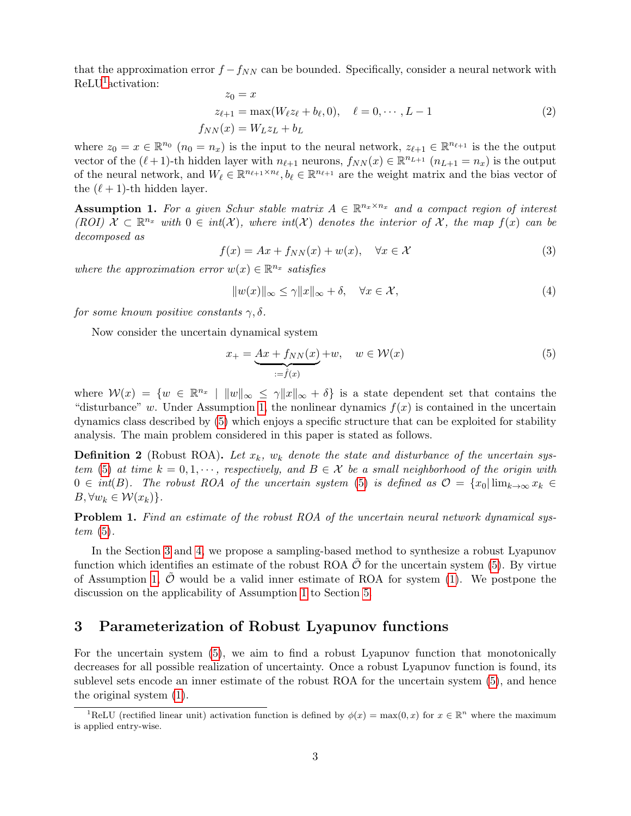that the approximation error  $f - f_{NN}$  can be bounded. Specifically, consider a neural network with ReLU<sup>[1](#page-2-1)</sup> activation:

<span id="page-2-4"></span>
$$
z_0 = x
$$
  
\n
$$
z_{\ell+1} = \max(W_{\ell}z_{\ell} + b_{\ell}, 0), \quad \ell = 0, \cdots, L-1
$$
  
\n
$$
f_{NN}(x) = W_{L}z_{L} + b_{L}
$$
\n(2)

where  $z_0 = x \in \mathbb{R}^{n_0}$   $(n_0 = n_x)$  is the input to the neural network,  $z_{\ell+1} \in \mathbb{R}^{n_{\ell+1}}$  is the the output vector of the  $(\ell + 1)$ -th hidden layer with  $n_{\ell+1}$  neurons,  $f_{NN}(x) \in \mathbb{R}^{n_{L+1}}$   $(n_{L+1} = n_x)$  is the output of the neural network, and  $W_\ell \in \mathbb{R}^{n_{\ell+1} \times n_{\ell}}, b_\ell \in \mathbb{R}^{n_{\ell+1}}$  are the weight matrix and the bias vector of the  $(\ell + 1)$ -th hidden layer.

<span id="page-2-2"></span>**Assumption 1.** For a given Schur stable matrix  $A \in \mathbb{R}^{n_x \times n_x}$  and a compact region of interest (ROI)  $\mathcal{X} \subset \mathbb{R}^{n_x}$  with  $0 \in int(\mathcal{X})$ , where  $int(\mathcal{X})$  denotes the interior of X, the map  $f(x)$  can be decomposed as

<span id="page-2-5"></span>
$$
f(x) = Ax + f_{NN}(x) + w(x), \quad \forall x \in \mathcal{X}
$$
\n(3)

where the approximation error  $w(x) \in \mathbb{R}^{n_x}$  satisfies

<span id="page-2-6"></span>
$$
||w(x)||_{\infty} \le \gamma ||x||_{\infty} + \delta, \quad \forall x \in \mathcal{X},
$$
\n(4)

for some known positive constants  $\gamma$ ,  $\delta$ .

Now consider the uncertain dynamical system

<span id="page-2-3"></span>
$$
x_{+} = \underbrace{Ax + f_{NN}(x)}_{:=\hat{f}(x)} + w, \quad w \in \mathcal{W}(x) \tag{5}
$$

where  $W(x) = \{w \in \mathbb{R}^{n_x} \mid ||w||_{\infty} \leq \gamma ||x||_{\infty} + \delta\}$  is a state dependent set that contains the "disturbance" w. Under Assumption [1,](#page-2-2) the nonlinear dynamics  $f(x)$  is contained in the uncertain dynamics class described by [\(5\)](#page-2-3) which enjoys a specific structure that can be exploited for stability analysis. The main problem considered in this paper is stated as follows.

**Definition 2** (Robust ROA). Let  $x_k$ ,  $w_k$  denote the state and disturbance of the uncertain sys-tem [\(5\)](#page-2-3) at time  $k = 0, 1, \dots$ , respectively, and  $B \in \mathcal{X}$  be a small neighborhood of the origin with  $0 \in int(B)$ . The robust ROA of the uncertain system [\(5\)](#page-2-3) is defined as  $\mathcal{O} = \{x_0 | \lim_{k \to \infty} x_k \in$  $B, \forall w_k \in \mathcal{W}(x_k)$ .

**Problem 1.** Find an estimate of the robust ROA of the uncertain neural network dynamical system  $(5)$ .

In the Section [3](#page-2-0) and [4,](#page-4-0) we propose a sampling-based method to synthesize a robust Lyapunov function which identifies an estimate of the robust ROA  $\mathcal{O}$  for the uncertain system [\(5\)](#page-2-3). By virtue of Assumption [1,](#page-2-2)  $\mathcal O$  would be a valid inner estimate of ROA for system [\(1\)](#page-1-1). We postpone the discussion on the applicability of Assumption [1](#page-2-2) to Section [5.](#page-7-0)

# <span id="page-2-0"></span>3 Parameterization of Robust Lyapunov functions

For the uncertain system [\(5\)](#page-2-3), we aim to find a robust Lyapunov function that monotonically decreases for all possible realization of uncertainty. Once a robust Lyapunov function is found, its sublevel sets encode an inner estimate of the robust ROA for the uncertain system [\(5\)](#page-2-3), and hence the original system [\(1\)](#page-1-1).

<span id="page-2-1"></span><sup>&</sup>lt;sup>1</sup>ReLU (rectified linear unit) activation function is defined by  $\phi(x) = \max(0, x)$  for  $x \in \mathbb{R}^n$  where the maximum is applied entry-wise.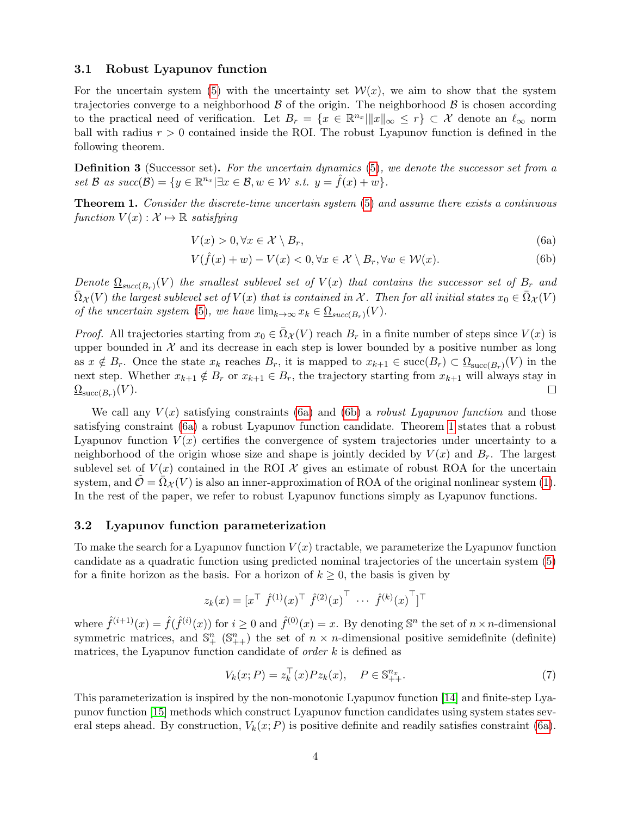#### 3.1 Robust Lyapunov function

For the uncertain system [\(5\)](#page-2-3) with the uncertainty set  $\mathcal{W}(x)$ , we aim to show that the system trajectories converge to a neighborhood  $\beta$  of the origin. The neighborhood  $\beta$  is chosen according to the practical need of verification. Let  $B_r = \{x \in \mathbb{R}^{n_x} \|\|x\|_{\infty} \leq r\} \subset \mathcal{X}$  denote an  $\ell_{\infty}$  norm ball with radius  $r > 0$  contained inside the ROI. The robust Lyapunov function is defined in the following theorem.

Definition 3 (Successor set). For the uncertain dynamics [\(5\)](#page-2-3), we denote the successor set from a set B as  $succ(\mathcal{B}) = \{y \in \mathbb{R}^{n_x} | \exists x \in \mathcal{B}, w \in \mathcal{W} \text{ s.t. } y = \hat{f}(x) + w\}.$ 

<span id="page-3-0"></span>Theorem 1. Consider the discrete-time uncertain system [\(5\)](#page-2-3) and assume there exists a continuous function  $V(x): \mathcal{X} \mapsto \mathbb{R}$  satisfying

<span id="page-3-3"></span><span id="page-3-1"></span>
$$
V(x) > 0, \forall x \in \mathcal{X} \setminus B_r,\tag{6a}
$$

<span id="page-3-2"></span>
$$
V(\hat{f}(x) + w) - V(x) < 0, \forall x \in \mathcal{X} \setminus B_r, \forall w \in \mathcal{W}(x). \tag{6b}
$$

Denote  $\underline{\Omega}_{succ(B_r)}(V)$  the smallest sublevel set of  $V(x)$  that contains the successor set of  $B_r$  and  $\bar{\Omega}_{\mathcal{X}}(V)$  the largest sublevel set of  $V(x)$  that is contained in X. Then for all initial states  $x_0 \in \bar{\Omega}_{\mathcal{X}}(V)$ of the uncertain system [\(5\)](#page-2-3), we have  $\lim_{k\to\infty} x_k \in \Omega_{succ(B_r)}(V)$ .

*Proof.* All trajectories starting from  $x_0 \in \overline{\Omega}_X(V)$  reach  $B_r$  in a finite number of steps since  $V(x)$  is upper bounded in  $\mathcal X$  and its decrease in each step is lower bounded by a positive number as long as  $x \notin B_r$ . Once the state  $x_k$  reaches  $B_r$ , it is mapped to  $x_{k+1} \in \text{succ}(B_r) \subset \underline{\Omega}_{\text{succ}(B_r)}(V)$  in the next step. Whether  $x_{k+1} \notin B_r$  or  $x_{k+1} \in B_r$ , the trajectory starting from  $x_{k+1}$  will always stay in  $\underline{\Omega}_{\mathrm{succ}(B_r)}(V).$  $\Box$ 

We call any  $V(x)$  satisfying constraints [\(6a\)](#page-3-1) and [\(6b\)](#page-3-2) a *robust Lyapunov function* and those satisfying constraint [\(6a\)](#page-3-1) a robust Lyapunov function candidate. Theorem [1](#page-3-0) states that a robust Lyapunov function  $V(x)$  certifies the convergence of system trajectories under uncertainty to a neighborhood of the origin whose size and shape is jointly decided by  $V(x)$  and  $B<sub>r</sub>$ . The largest sublevel set of  $V(x)$  contained in the ROI X gives an estimate of robust ROA for the uncertain system, and  $\mathcal{O} = \Omega_{\mathcal{X}}(V)$  is also an inner-approximation of ROA of the original nonlinear system [\(1\)](#page-1-1). In the rest of the paper, we refer to robust Lyapunov functions simply as Lyapunov functions.

#### 3.2 Lyapunov function parameterization

To make the search for a Lyapunov function  $V(x)$  tractable, we parameterize the Lyapunov function candidate as a quadratic function using predicted nominal trajectories of the uncertain system [\(5\)](#page-2-3) for a finite horizon as the basis. For a horizon of  $k \geq 0$ , the basis is given by

$$
z_k(x) = \begin{bmatrix} x^\top \ \hat{f}^{(1)}(x)^\top \ \hat{f}^{(2)}(x)^\top \ \cdots \ \hat{f}^{(k)}(x)^\top \end{bmatrix}^\top
$$

where  $\hat{f}^{(i+1)}(x) = \hat{f}(\hat{f}^{(i)}(x))$  for  $i \ge 0$  and  $\hat{f}^{(0)}(x) = x$ . By denoting  $\mathbb{S}^n$  the set of  $n \times n$ -dimensional symmetric matrices, and  $\mathbb{S}^n_+$  ( $\mathbb{S}^n_{++}$ ) the set of  $n \times n$ -dimensional positive semidefinite (definite) matrices, the Lyapunov function candidate of *order*  $k$  is defined as

<span id="page-3-4"></span>
$$
V_k(x; P) = z_k^{\top}(x) P z_k(x), \quad P \in \mathbb{S}_{++}^{n_x}.
$$
 (7)

This parameterization is inspired by the non-monotonic Lyapunov function [\[14\]](#page-12-12) and finite-step Lyapunov function [\[15\]](#page-12-13) methods which construct Lyapunov function candidates using system states several steps ahead. By construction,  $V_k(x; P)$  is positive definite and readily satisfies constraint [\(6a\)](#page-3-1).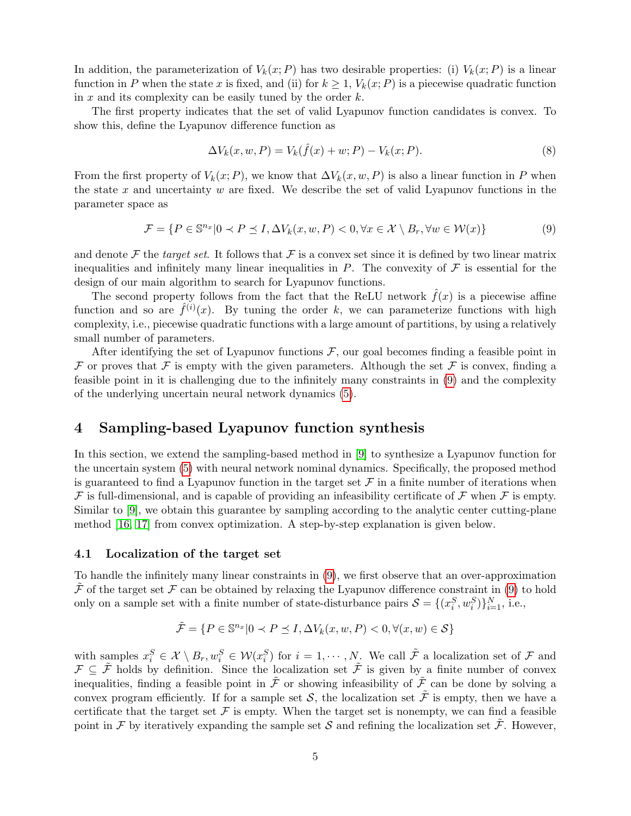In addition, the parameterization of  $V_k(x; P)$  has two desirable properties: (i)  $V_k(x; P)$  is a linear function in P when the state x is fixed, and (ii) for  $k \geq 1$ ,  $V_k(x; P)$  is a piecewise quadratic function in x and its complexity can be easily tuned by the order  $k$ .

The first property indicates that the set of valid Lyapunov function candidates is convex. To show this, define the Lyapunov difference function as

$$
\Delta V_k(x, w, P) = V_k(\hat{f}(x) + w; P) - V_k(x; P).
$$
\n(8)

From the first property of  $V_k(x; P)$ , we know that  $\Delta V_k(x, w, P)$  is also a linear function in P when the state x and uncertainty  $w$  are fixed. We describe the set of valid Lyapunov functions in the parameter space as

<span id="page-4-1"></span>
$$
\mathcal{F} = \{ P \in \mathbb{S}^{n_x} | 0 \prec P \preceq I, \Delta V_k(x, w, P) < 0, \forall x \in \mathcal{X} \setminus B_r, \forall w \in \mathcal{W}(x) \} \tag{9}
$$

and denote  $\mathcal F$  the target set. It follows that  $\mathcal F$  is a convex set since it is defined by two linear matrix inequalities and infinitely many linear inequalities in  $P$ . The convexity of  $\mathcal F$  is essential for the design of our main algorithm to search for Lyapunov functions.

The second property follows from the fact that the ReLU network  $\hat{f}(x)$  is a piecewise affine function and so are  $\hat{f}^{(i)}(x)$ . By tuning the order k, we can parameterize functions with high complexity, i.e., piecewise quadratic functions with a large amount of partitions, by using a relatively small number of parameters.

After identifying the set of Lyapunov functions  $\mathcal{F}$ , our goal becomes finding a feasible point in F or proves that F is empty with the given parameters. Although the set F is convex, finding a feasible point in it is challenging due to the infinitely many constraints in [\(9\)](#page-4-1) and the complexity of the underlying uncertain neural network dynamics [\(5\)](#page-2-3).

### <span id="page-4-0"></span>4 Sampling-based Lyapunov function synthesis

In this section, we extend the sampling-based method in [\[9\]](#page-12-8) to synthesize a Lyapunov function for the uncertain system [\(5\)](#page-2-3) with neural network nominal dynamics. Specifically, the proposed method is guaranteed to find a Lyapunov function in the target set  $\mathcal F$  in a finite number of iterations when  $\mathcal F$  is full-dimensional, and is capable of providing an infeasibility certificate of  $\mathcal F$  when  $\mathcal F$  is empty. Similar to [\[9\]](#page-12-8), we obtain this guarantee by sampling according to the analytic center cutting-plane method [\[16,](#page-12-14) [17\]](#page-12-15) from convex optimization. A step-by-step explanation is given below.

#### 4.1 Localization of the target set

To handle the infinitely many linear constraints in [\(9\)](#page-4-1), we first observe that an over-approximation  $\tilde{\mathcal{F}}$  of the target set  $\mathcal{F}$  can be obtained by relaxing the Lyapunov difference constraint in [\(9\)](#page-4-1) to hold only on a sample set with a finite number of state-disturbance pairs  $S = \{(x_i^S, w_i^S)\}_{i=1}^N$ , i.e.,

$$
\tilde{\mathcal{F}} = \{ P \in \mathbb{S}^{n_x} | 0 \prec P \preceq I, \Delta V_k(x, w, P) < 0, \forall (x, w) \in \mathcal{S} \}
$$

with samples  $x_i^S \in \mathcal{X} \setminus B_r, w_i^S \in \mathcal{W}(x_i^S)$  for  $i = 1, \dots, N$ . We call  $\tilde{\mathcal{F}}$  a localization set of  $\mathcal{F}$  and  $\mathcal{F} \subseteq \tilde{\mathcal{F}}$  holds by definition. Since the localization set  $\tilde{\mathcal{F}}$  is given by a finite number of convex inequalities, finding a feasible point in  $\tilde{\mathcal{F}}$  or showing infeasibility of  $\tilde{\mathcal{F}}$  can be done by solving a convex program efficiently. If for a sample set  $S$ , the localization set  $\tilde{\mathcal{F}}$  is empty, then we have a certificate that the target set  $\mathcal F$  is empty. When the target set is nonempty, we can find a feasible point in F by iteratively expanding the sample set S and refining the localization set  $\tilde{\mathcal{F}}$ . However,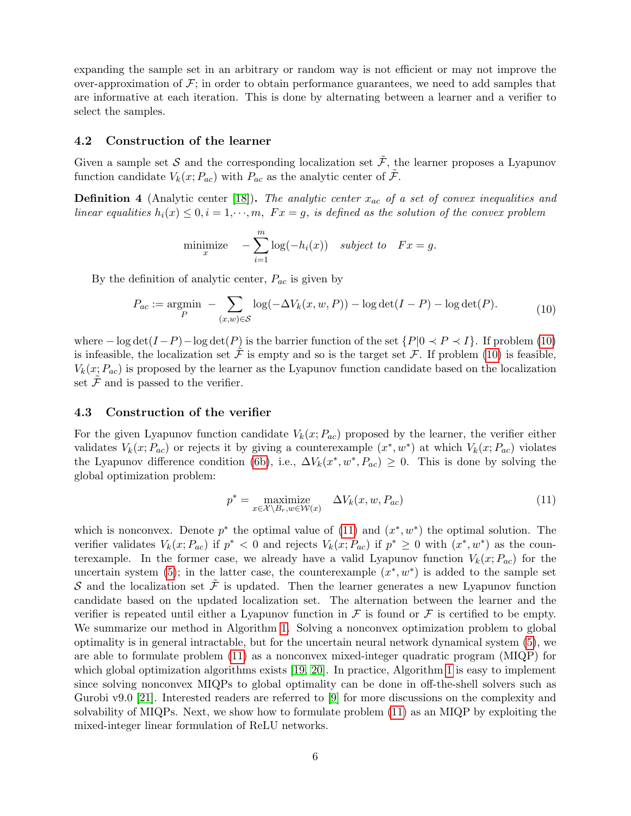expanding the sample set in an arbitrary or random way is not efficient or may not improve the over-approximation of  $\mathcal{F}$ ; in order to obtain performance guarantees, we need to add samples that are informative at each iteration. This is done by alternating between a learner and a verifier to select the samples.

#### 4.2 Construction of the learner

Given a sample set S and the corresponding localization set  $\tilde{\mathcal{F}}$ , the learner proposes a Lyapunov function candidate  $V_k(x; P_{ac})$  with  $P_{ac}$  as the analytic center of  $\tilde{\mathcal{F}}$ .

**Definition 4** (Analytic center [\[18\]](#page-12-16)). The analytic center  $x_{ac}$  of a set of convex inequalities and linear equalities  $h_i(x) \leq 0, i = 1, \dots, m$ ,  $Fx = g$ , is defined as the solution of the convex problem

$$
\text{minimize}_{x} \quad -\sum_{i=1}^{m} \log(-h_i(x)) \quad \text{subject to} \quad Fx = g.
$$

By the definition of analytic center,  $P_{ac}$  is given by

<span id="page-5-0"></span>
$$
P_{ac} := \underset{P}{\text{argmin}} - \sum_{(x,w)\in\mathcal{S}} \log(-\Delta V_k(x, w, P)) - \log \det(I - P) - \log \det(P). \tag{10}
$$

where  $-\log \det(I-P) - \log \det(P)$  is the barrier function of the set  $\{P|0 \prec P \prec I\}$ . If problem [\(10\)](#page-5-0) is infeasible, the localization set  $\ddot{\mathcal{F}}$  is empty and so is the target set  $\mathcal{F}$ . If problem [\(10\)](#page-5-0) is feasible,  $V_k(x; P_{ac})$  is proposed by the learner as the Lyapunov function candidate based on the localization set  $\mathcal F$  and is passed to the verifier.

#### 4.3 Construction of the verifier

For the given Lyapunov function candidate  $V_k(x; P_{ac})$  proposed by the learner, the verifier either validates  $V_k(x; P_{ac})$  or rejects it by giving a counterexample  $(x^*, w^*)$  at which  $V_k(x; P_{ac})$  violates the Lyapunov difference condition [\(6b\)](#page-3-2), i.e.,  $\Delta V_k(x^*, w^*, P_{ac}) \geq 0$ . This is done by solving the global optimization problem:

<span id="page-5-1"></span>
$$
p^* = \underset{x \in \mathcal{X} \setminus B_r, w \in \mathcal{W}(x)}{\text{maximize}} \quad \Delta V_k(x, w, P_{ac}) \tag{11}
$$

which is nonconvex. Denote  $p^*$  the optimal value of [\(11\)](#page-5-1) and  $(x^*, w^*)$  the optimal solution. The verifier validates  $V_k(x; P_{ac})$  if  $p^* < 0$  and rejects  $V_k(x; P_{ac})$  if  $p^* \geq 0$  with  $(x^*, w^*)$  as the counterexample. In the former case, we already have a valid Lyapunov function  $V_k(x; P_{ac})$  for the uncertain system [\(5\)](#page-2-3); in the latter case, the counterexample  $(x^*, w^*)$  is added to the sample set S and the localization set  $\tilde{\mathcal{F}}$  is updated. Then the learner generates a new Lyapunov function candidate based on the updated localization set. The alternation between the learner and the verifier is repeated until either a Lyapunov function in  $\mathcal F$  is found or  $\mathcal F$  is certified to be empty. We summarize our method in Algorithm [1.](#page-6-0) Solving a nonconvex optimization problem to global optimality is in general intractable, but for the uncertain neural network dynamical system [\(5\)](#page-2-3), we are able to formulate problem [\(11\)](#page-5-1) as a nonconvex mixed-integer quadratic program (MIQP) for which global optimization algorithms exists [\[19,](#page-13-0) [20\]](#page-13-1). In practice, Algorithm [1](#page-6-0) is easy to implement since solving nonconvex MIQPs to global optimality can be done in off-the-shell solvers such as Gurobi v9.0 [\[21\]](#page-13-2). Interested readers are referred to [\[9\]](#page-12-8) for more discussions on the complexity and solvability of MIQPs. Next, we show how to formulate problem [\(11\)](#page-5-1) as an MIQP by exploiting the mixed-integer linear formulation of ReLU networks.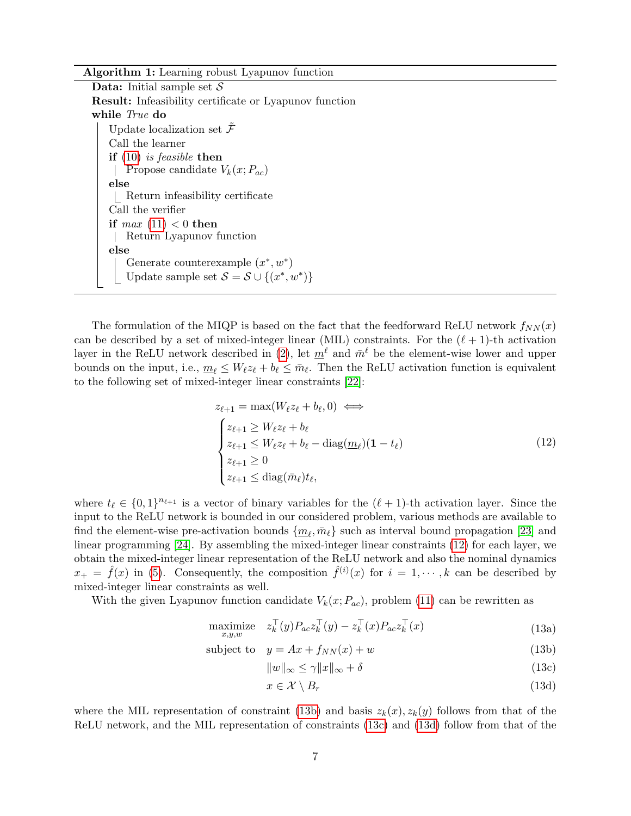Algorithm 1: Learning robust Lyapunov function

**Data:** Initial sample set  $S$ Result: Infeasibility certificate or Lyapunov function while True do Update localization set  $\tilde{\mathcal{F}}$ Call the learner if  $(10)$  is feasible then | Propose candidate  $V_k(x; P_{ac})$ else Return infeasibility certificate Call the verifier if  $max(11) < 0$  $max(11) < 0$  $max(11) < 0$  then Return Lyapunov function else Generate counterexample  $(x^*, w^*)$ Update sample set  $S = S \cup \{(x^*, w^*)\}$ 

<span id="page-6-0"></span>The formulation of the MIQP is based on the fact that the feedforward ReLU network  $f_{NN}(x)$ can be described by a set of mixed-integer linear (MIL) constraints. For the  $(\ell + 1)$ -th activation layer in the ReLU network described in [\(2\)](#page-2-4), let  $m^{\ell}$  and  $\bar{m}^{\ell}$  be the element-wise lower and upper bounds on the input, i.e.,  $\underline{m}_{\ell} \leq W_{\ell} z_{\ell} + b_{\ell} \leq \overline{m}_{\ell}$ . Then the ReLU activation function is equivalent to the following set of mixed-integer linear constraints [\[22\]](#page-13-3):

<span id="page-6-1"></span>
$$
z_{\ell+1} = \max(W_{\ell}z_{\ell} + b_{\ell}, 0) \iff
$$
  
\n
$$
\begin{cases}\nz_{\ell+1} \ge W_{\ell}z_{\ell} + b_{\ell} \\
z_{\ell+1} \le W_{\ell}z_{\ell} + b_{\ell} - \text{diag}(\underline{m}_{\ell})(1 - t_{\ell}) \\
z_{\ell+1} \ge 0 \\
z_{\ell+1} \le \text{diag}(\bar{m}_{\ell})t_{\ell},\n\end{cases}
$$
\n(12)

where  $t_\ell \in \{0, 1\}^{n_{\ell+1}}$  is a vector of binary variables for the  $(\ell + 1)$ -th activation layer. Since the input to the ReLU network is bounded in our considered problem, various methods are available to find the element-wise pre-activation bounds  $\{\underline{m}_{\ell}, \bar{m}_{\ell}\}$  such as interval bound propagation [\[23\]](#page-13-4) and linear programming [\[24\]](#page-13-5). By assembling the mixed-integer linear constraints [\(12\)](#page-6-1) for each layer, we obtain the mixed-integer linear representation of the ReLU network and also the nominal dynamics  $x_+ = \hat{f}(x)$  in [\(5\)](#page-2-3). Consequently, the composition  $\hat{f}^{(i)}(x)$  for  $i = 1, \dots, k$  can be described by mixed-integer linear constraints as well.

With the given Lyapunov function candidate  $V_k(x; P_{ac})$ , problem [\(11\)](#page-5-1) can be rewritten as

$$
\underset{x,y,w}{\text{maximize}} \quad z_k^\top(y) P_{ac} z_k^\top(y) - z_k^\top(x) P_{ac} z_k^\top(x) \tag{13a}
$$

$$
subject to \t y = Ax + f_{NN}(x) + w \t(13b)
$$

<span id="page-6-6"></span><span id="page-6-5"></span><span id="page-6-4"></span><span id="page-6-3"></span><span id="page-6-2"></span>
$$
||w||_{\infty} \le \gamma ||x||_{\infty} + \delta \tag{13c}
$$

 $x \in \mathcal{X} \setminus B_r$  (13d)

where the MIL representation of constraint [\(13b\)](#page-6-2) and basis  $z_k(x), z_k(y)$  follows from that of the ReLU network, and the MIL representation of constraints [\(13c\)](#page-6-3) and [\(13d\)](#page-6-4) follow from that of the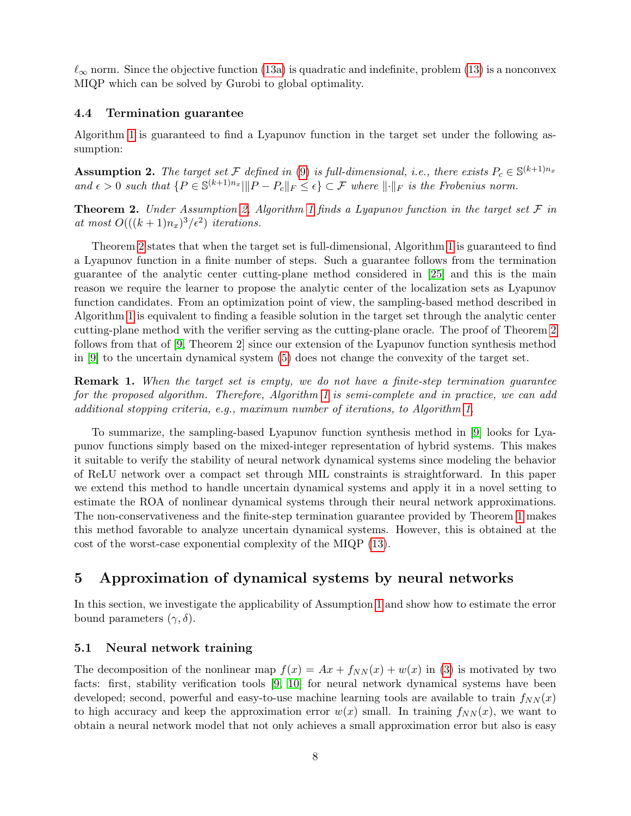$\ell_{\infty}$  norm. Since the objective function [\(13a\)](#page-6-5) is quadratic and indefinite, problem [\(13\)](#page-6-6) is a nonconvex MIQP which can be solved by Gurobi to global optimality.

#### 4.4 Termination guarantee

Algorithm [1](#page-6-0) is guaranteed to find a Lyapunov function in the target set under the following assumption:

<span id="page-7-1"></span>**Assumption 2.** The target set F defined in [\(9\)](#page-4-1) is full-dimensional, i.e., there exists  $P_c \in \mathbb{S}^{(k+1)n_x}$ and  $\epsilon > 0$  such that  $\{P \in \mathbb{S}^{(k+1)n_x} \mid ||P - P_c||_F \leq \epsilon\} \subset \mathcal{F}$  where  $||\cdot||_F$  is the Frobenius norm.

<span id="page-7-2"></span>**Theorem 2.** Under Assumption [2,](#page-7-1) Algorithm [1](#page-6-0) finds a Lyapunov function in the target set  $\mathcal F$  in at most  $O(((k+1)n_x)^3/\epsilon^2)$  iterations.

Theorem [2](#page-7-2) states that when the target set is full-dimensional, Algorithm [1](#page-6-0) is guaranteed to find a Lyapunov function in a finite number of steps. Such a guarantee follows from the termination guarantee of the analytic center cutting-plane method considered in [\[25\]](#page-13-6) and this is the main reason we require the learner to propose the analytic center of the localization sets as Lyapunov function candidates. From an optimization point of view, the sampling-based method described in Algorithm [1](#page-6-0) is equivalent to finding a feasible solution in the target set through the analytic center cutting-plane method with the verifier serving as the cutting-plane oracle. The proof of Theorem [2](#page-7-2) follows from that of [\[9,](#page-12-8) Theorem 2] since our extension of the Lyapunov function synthesis method in [\[9\]](#page-12-8) to the uncertain dynamical system [\(5\)](#page-2-3) does not change the convexity of the target set.

**Remark 1.** When the target set is empty, we do not have a finite-step termination guarantee for the proposed algorithm. Therefore, Algorithm [1](#page-6-0) is semi-complete and in practice, we can add additional stopping criteria, e.g., maximum number of iterations, to Algorithm [1.](#page-6-0)

To summarize, the sampling-based Lyapunov function synthesis method in [\[9\]](#page-12-8) looks for Lyapunov functions simply based on the mixed-integer representation of hybrid systems. This makes it suitable to verify the stability of neural network dynamical systems since modeling the behavior of ReLU network over a compact set through MIL constraints is straightforward. In this paper we extend this method to handle uncertain dynamical systems and apply it in a novel setting to estimate the ROA of nonlinear dynamical systems through their neural network approximations. The non-conservativeness and the finite-step termination guarantee provided by Theorem [1](#page-3-0) makes this method favorable to analyze uncertain dynamical systems. However, this is obtained at the cost of the worst-case exponential complexity of the MIQP [\(13\)](#page-6-6).

# <span id="page-7-0"></span>5 Approximation of dynamical systems by neural networks

In this section, we investigate the applicability of Assumption [1](#page-2-2) and show how to estimate the error bound parameters  $(\gamma, \delta)$ .

#### 5.1 Neural network training

The decomposition of the nonlinear map  $f(x) = Ax + f_{NN}(x) + w(x)$  in [\(3\)](#page-2-5) is motivated by two facts: first, stability verification tools [\[9,](#page-12-8) [10\]](#page-12-9) for neural network dynamical systems have been developed; second, powerful and easy-to-use machine learning tools are available to train  $f_{NN}(x)$ to high accuracy and keep the approximation error  $w(x)$  small. In training  $f_{NN}(x)$ , we want to obtain a neural network model that not only achieves a small approximation error but also is easy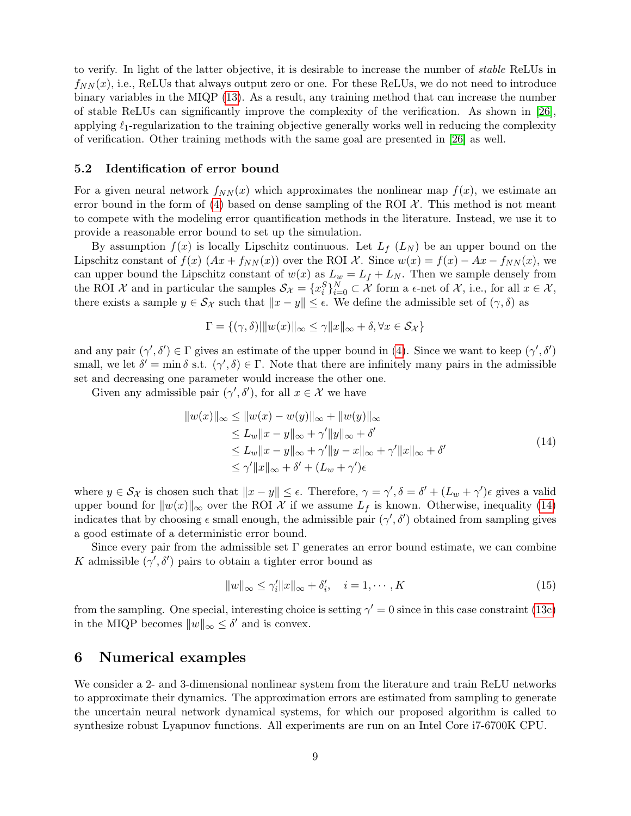to verify. In light of the latter objective, it is desirable to increase the number of stable ReLUs in  $f_{NN}(x)$ , i.e., ReLUs that always output zero or one. For these ReLUs, we do not need to introduce binary variables in the MIQP [\(13\)](#page-6-6). As a result, any training method that can increase the number of stable ReLUs can significantly improve the complexity of the verification. As shown in [\[26\]](#page-13-7), applying  $\ell_1$ -regularization to the training objective generally works well in reducing the complexity of verification. Other training methods with the same goal are presented in [\[26\]](#page-13-7) as well.

#### 5.2 Identification of error bound

For a given neural network  $f_{NN}(x)$  which approximates the nonlinear map  $f(x)$ , we estimate an error bound in the form of [\(4\)](#page-2-6) based on dense sampling of the ROI  $\mathcal{X}$ . This method is not meant to compete with the modeling error quantification methods in the literature. Instead, we use it to provide a reasonable error bound to set up the simulation.

By assumption  $f(x)$  is locally Lipschitz continuous. Let  $L_f(L_N)$  be an upper bound on the Lipschitz constant of  $f(x)$   $(Ax + f_{NN}(x))$  over the ROI X. Since  $w(x) = f(x) - Ax - f_{NN}(x)$ , we can upper bound the Lipschitz constant of  $w(x)$  as  $L_w = L_f + L_N$ . Then we sample densely from the ROI X and in particular the samples  $\mathcal{S}_{\mathcal{X}} = \{x_i^S\}_{i=0}^N \subset \mathcal{X}$  form a  $\epsilon$ -net of X, i.e., for all  $x \in \mathcal{X}$ , there exists a sample  $y \in S_{\mathcal{X}}$  such that  $||x - y|| \leq \epsilon$ . We define the admissible set of  $(\gamma, \delta)$  as

$$
\Gamma = \{ (\gamma, \delta) | ||w(x)||_{\infty} \le \gamma ||x||_{\infty} + \delta, \forall x \in S_{\mathcal{X}} \}
$$

and any pair  $(\gamma', \delta') \in \Gamma$  gives an estimate of the upper bound in [\(4\)](#page-2-6). Since we want to keep  $(\gamma', \delta')$ small, we let  $\delta' = \min \delta$  s.t.  $(\gamma', \delta) \in \Gamma$ . Note that there are infinitely many pairs in the admissible set and decreasing one parameter would increase the other one.

Given any admissible pair  $(\gamma', \delta')$ , for all  $x \in \mathcal{X}$  we have

<span id="page-8-1"></span>
$$
||w(x)||_{\infty} \le ||w(x) - w(y)||_{\infty} + ||w(y)||_{\infty}
$$
  
\n
$$
\le L_w ||x - y||_{\infty} + \gamma' ||y||_{\infty} + \delta'
$$
  
\n
$$
\le L_w ||x - y||_{\infty} + \gamma' ||y - x||_{\infty} + \gamma' ||x||_{\infty} + \delta'
$$
  
\n
$$
\le \gamma' ||x||_{\infty} + \delta' + (L_w + \gamma')\epsilon
$$
\n(14)

where  $y \in \mathcal{S}_{\mathcal{X}}$  is chosen such that  $||x - y|| \leq \epsilon$ . Therefore,  $\gamma = \gamma', \delta = \delta' + (L_w + \gamma')\epsilon$  gives a valid upper bound for  $||w(x)||_{\infty}$  over the ROI X if we assume  $L_f$  is known. Otherwise, inequality [\(14\)](#page-8-1) indicates that by choosing  $\epsilon$  small enough, the admissible pair  $(\gamma', \delta')$  obtained from sampling gives a good estimate of a deterministic error bound.

Since every pair from the admissible set  $\Gamma$  generates an error bound estimate, we can combine K admissible  $(\gamma', \delta')$  pairs to obtain a tighter error bound as

$$
||w||_{\infty} \le \gamma_i' ||x||_{\infty} + \delta_i', \quad i = 1, \cdots, K
$$
\n(15)

from the sampling. One special, interesting choice is setting  $\gamma' = 0$  since in this case constraint [\(13c\)](#page-6-3) in the MIQP becomes  $||w||_{\infty} \leq \delta'$  and is convex.

# <span id="page-8-0"></span>6 Numerical examples

We consider a 2- and 3-dimensional nonlinear system from the literature and train ReLU networks to approximate their dynamics. The approximation errors are estimated from sampling to generate the uncertain neural network dynamical systems, for which our proposed algorithm is called to synthesize robust Lyapunov functions. All experiments are run on an Intel Core i7-6700K CPU.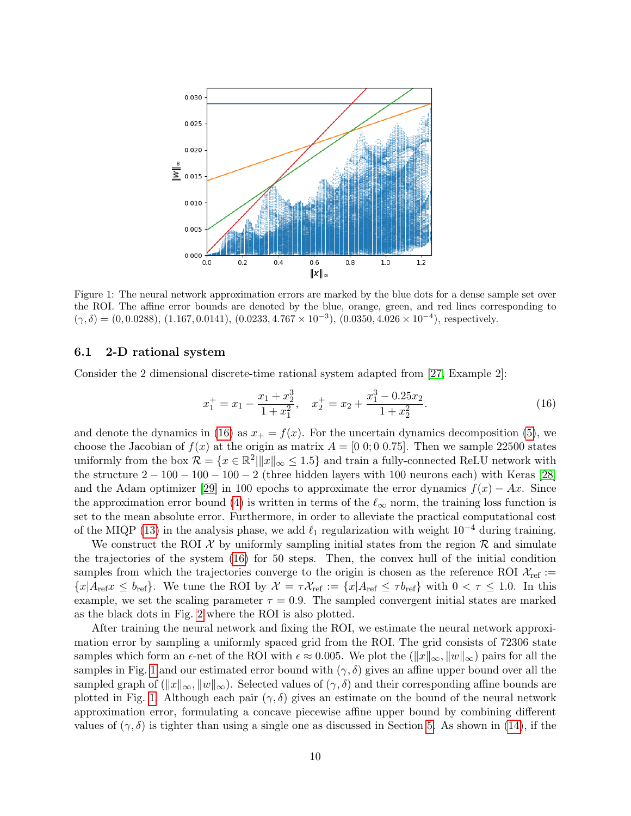<span id="page-9-1"></span>

Figure 1: The neural network approximation errors are marked by the blue dots for a dense sample set over the ROI. The affine error bounds are denoted by the blue, orange, green, and red lines corresponding to  $(\gamma, \delta) = (0, 0.0288), (1.167, 0.0141), (0.0233, 4.767 \times 10^{-3}), (0.0350, 4.026 \times 10^{-4}),$  respectively.

#### 6.1 2-D rational system

Consider the 2 dimensional discrete-time rational system adapted from [\[27,](#page-13-8) Example 2]:

<span id="page-9-0"></span>
$$
x_1^+ = x_1 - \frac{x_1 + x_2^3}{1 + x_1^2}, \quad x_2^+ = x_2 + \frac{x_1^3 - 0.25x_2}{1 + x_2^2}.
$$
 (16)

and denote the dynamics in [\(16\)](#page-9-0) as  $x_+ = f(x)$ . For the uncertain dynamics decomposition [\(5\)](#page-2-3), we choose the Jacobian of  $f(x)$  at the origin as matrix  $A = [0\ 0; 0\ 0.75]$ . Then we sample 22500 states uniformly from the box  $\mathcal{R} = \{x \in \mathbb{R}^2 | ||x||_{\infty} \le 1.5\}$  and train a fully-connected ReLU network with the structure  $2 - 100 - 100 - 100 - 2$  (three hidden layers with 100 neurons each) with Keras [\[28\]](#page-13-9) and the Adam optimizer [\[29\]](#page-13-10) in 100 epochs to approximate the error dynamics  $f(x) - Ax$ . Since the approximation error bound [\(4\)](#page-2-6) is written in terms of the  $\ell_{\infty}$  norm, the training loss function is set to the mean absolute error. Furthermore, in order to alleviate the practical computational cost of the MIQP [\(13\)](#page-6-6) in the analysis phase, we add  $\ell_1$  regularization with weight 10<sup>-4</sup> during training.

We construct the ROI  $\mathcal X$  by uniformly sampling initial states from the region  $\mathcal R$  and simulate the trajectories of the system [\(16\)](#page-9-0) for 50 steps. Then, the convex hull of the initial condition samples from which the trajectories converge to the origin is chosen as the reference ROI  $\mathcal{X}_{ref}$ :=  ${x|A_{ref}x \le b_{ref}}$ . We tune the ROI by  $\mathcal{X} = \tau \mathcal{X}_{ref} := {x|A_{ref} \le \tau b_{ref}}$  with  $0 < \tau \le 1.0$ . In this example, we set the scaling parameter  $\tau = 0.9$ . The sampled convergent initial states are marked as the black dots in Fig. [2](#page-10-0) where the ROI is also plotted.

After training the neural network and fixing the ROI, we estimate the neural network approximation error by sampling a uniformly spaced grid from the ROI. The grid consists of 72306 state samples which form an  $\epsilon$ -net of the ROI with  $\epsilon \approx 0.005$ . We plot the  $(\|x\|_{\infty}, \|w\|_{\infty})$  pairs for all the samples in Fig. [1](#page-9-1) and our estimated error bound with  $(\gamma, \delta)$  gives an affine upper bound over all the sampled graph of  $(\Vert x \Vert_{\infty}, \Vert w \Vert_{\infty})$ . Selected values of  $(\gamma, \delta)$  and their corresponding affine bounds are plotted in Fig. [1.](#page-9-1) Although each pair  $(\gamma, \delta)$  gives an estimate on the bound of the neural network approximation error, formulating a concave piecewise affine upper bound by combining different values of  $(\gamma, \delta)$  is tighter than using a single one as discussed in Section [5.](#page-7-0) As shown in [\(14\)](#page-8-1), if the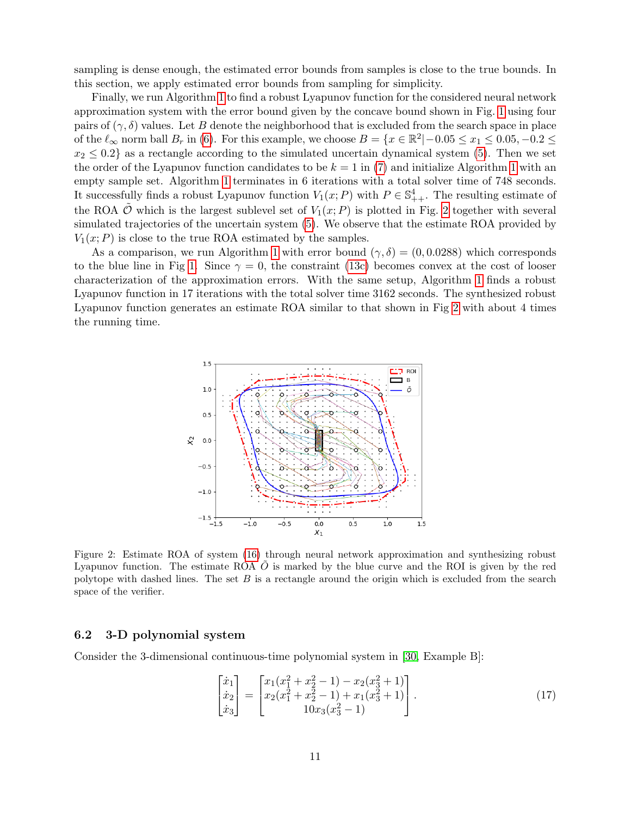sampling is dense enough, the estimated error bounds from samples is close to the true bounds. In this section, we apply estimated error bounds from sampling for simplicity.

Finally, we run Algorithm [1](#page-6-0) to find a robust Lyapunov function for the considered neural network approximation system with the error bound given by the concave bound shown in Fig. [1](#page-9-1) using four pairs of  $(\gamma, \delta)$  values. Let B denote the neighborhood that is excluded from the search space in place of the  $\ell_{\infty}$  norm ball  $B_r$  in [\(6\)](#page-3-3). For this example, we choose  $B = \{x \in \mathbb{R}^2 | -0.05 \le x_1 \le 0.05, -0.2 \le x_2 \}$  $x_2 \leq 0.2$  as a rectangle according to the simulated uncertain dynamical system [\(5\)](#page-2-3). Then we set the order of the Lyapunov function candidates to be  $k = 1$  $k = 1$  in [\(7\)](#page-3-4) and initialize Algorithm 1 with an empty sample set. Algorithm [1](#page-6-0) terminates in 6 iterations with a total solver time of 748 seconds. It successfully finds a robust Lyapunov function  $V_1(x; P)$  with  $P \in \mathbb{S}^4_{++}$ . The resulting estimate of the ROA  $\ddot{\mathcal{O}}$  which is the largest sublevel set of  $V_1(x; P)$  is plotted in Fig. [2](#page-10-0) together with several simulated trajectories of the uncertain system [\(5\)](#page-2-3). We observe that the estimate ROA provided by  $V_1(x; P)$  is close to the true ROA estimated by the samples.

<span id="page-10-0"></span>As a comparison, we run Algorithm [1](#page-6-0) with error bound  $(\gamma, \delta) = (0, 0.0288)$  which corresponds to the blue line in Fig [1.](#page-9-1) Since  $\gamma = 0$ , the constraint [\(13c\)](#page-6-3) becomes convex at the cost of looser characterization of the approximation errors. With the same setup, Algorithm [1](#page-6-0) finds a robust Lyapunov function in 17 iterations with the total solver time 3162 seconds. The synthesized robust Lyapunov function generates an estimate ROA similar to that shown in Fig [2](#page-10-0) with about 4 times the running time.



Figure 2: Estimate ROA of system [\(16\)](#page-9-0) through neural network approximation and synthesizing robust Lyapunov function. The estimate ROA  $O$  is marked by the blue curve and the ROI is given by the red polytope with dashed lines. The set  $B$  is a rectangle around the origin which is excluded from the search space of the verifier.

#### 6.2 3-D polynomial system

Consider the 3-dimensional continuous-time polynomial system in [\[30,](#page-13-11) Example B]:

$$
\begin{bmatrix} \dot{x}_1 \\ \dot{x}_2 \\ \dot{x}_3 \end{bmatrix} = \begin{bmatrix} x_1(x_1^2 + x_2^2 - 1) - x_2(x_3^2 + 1) \\ x_2(x_1^2 + x_2^2 - 1) + x_1(x_3^2 + 1) \\ 10x_3(x_3^2 - 1) \end{bmatrix} . \tag{17}
$$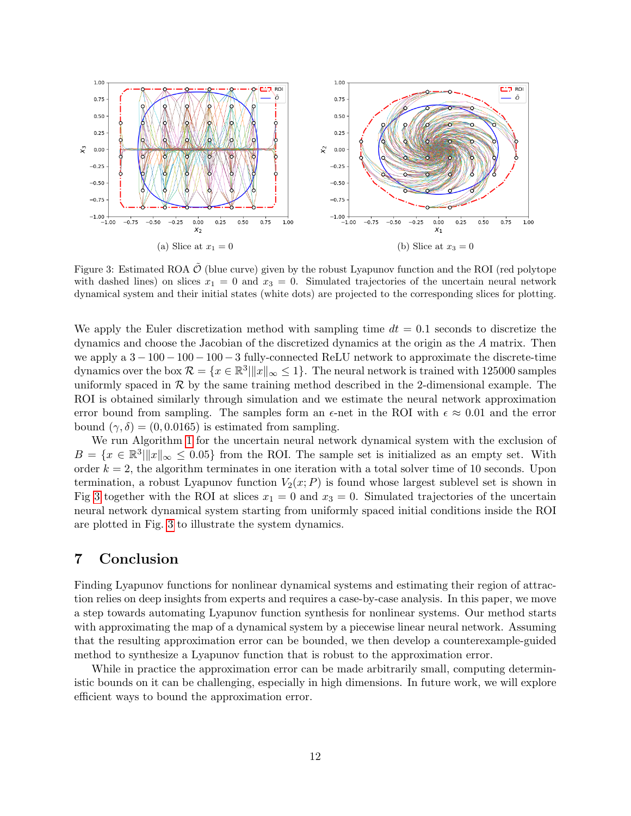<span id="page-11-1"></span>

Figure 3: Estimated ROA  $\tilde{\mathcal{O}}$  (blue curve) given by the robust Lyapunov function and the ROI (red polytope with dashed lines) on slices  $x_1 = 0$  and  $x_3 = 0$ . Simulated trajectories of the uncertain neural network dynamical system and their initial states (white dots) are projected to the corresponding slices for plotting.

We apply the Euler discretization method with sampling time  $dt = 0.1$  seconds to discretize the dynamics and choose the Jacobian of the discretized dynamics at the origin as the A matrix. Then we apply a  $3 - 100 - 100 - 100 - 3$  fully-connected ReLU network to approximate the discrete-time dynamics over the box  $\mathcal{R} = \{x \in \mathbb{R}^3 | ||x||_{\infty} \leq 1\}$ . The neural network is trained with 125000 samples uniformly spaced in  $\mathcal R$  by the same training method described in the 2-dimensional example. The ROI is obtained similarly through simulation and we estimate the neural network approximation error bound from sampling. The samples form an  $\epsilon$ -net in the ROI with  $\epsilon \approx 0.01$  and the error bound  $(\gamma, \delta) = (0, 0.0165)$  is estimated from sampling.

We run Algorithm [1](#page-6-0) for the uncertain neural network dynamical system with the exclusion of  $B = \{x \in \mathbb{R}^3 | \|x\|_{\infty} \leq 0.05\}$  from the ROI. The sample set is initialized as an empty set. With order  $k = 2$ , the algorithm terminates in one iteration with a total solver time of 10 seconds. Upon termination, a robust Lyapunov function  $V_2(x; P)$  is found whose largest sublevel set is shown in Fig [3](#page-11-1) together with the ROI at slices  $x_1 = 0$  and  $x_3 = 0$ . Simulated trajectories of the uncertain neural network dynamical system starting from uniformly spaced initial conditions inside the ROI are plotted in Fig. [3](#page-11-1) to illustrate the system dynamics.

# <span id="page-11-0"></span>7 Conclusion

Finding Lyapunov functions for nonlinear dynamical systems and estimating their region of attraction relies on deep insights from experts and requires a case-by-case analysis. In this paper, we move a step towards automating Lyapunov function synthesis for nonlinear systems. Our method starts with approximating the map of a dynamical system by a piecewise linear neural network. Assuming that the resulting approximation error can be bounded, we then develop a counterexample-guided method to synthesize a Lyapunov function that is robust to the approximation error.

While in practice the approximation error can be made arbitrarily small, computing deterministic bounds on it can be challenging, especially in high dimensions. In future work, we will explore efficient ways to bound the approximation error.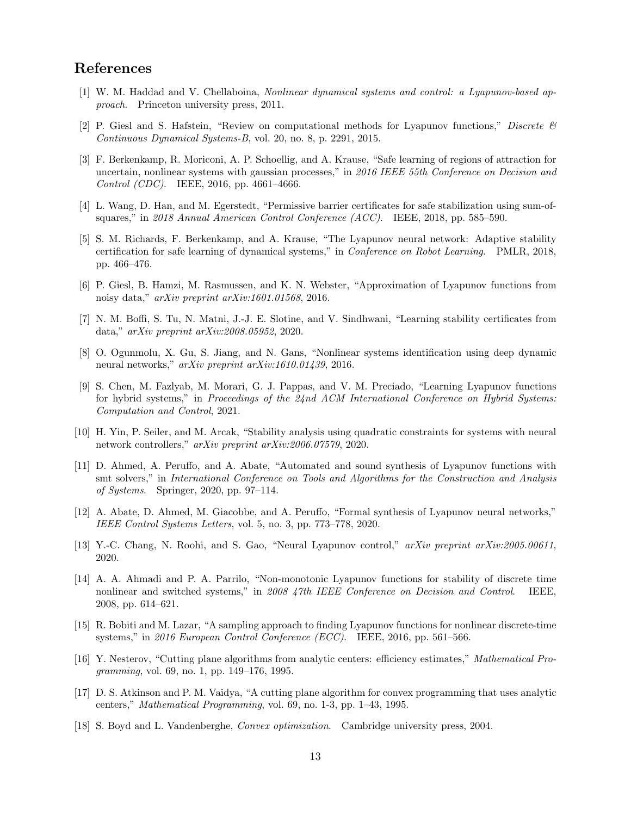# References

- <span id="page-12-0"></span>[1] W. M. Haddad and V. Chellaboina, Nonlinear dynamical systems and control: a Lyapunov-based approach. Princeton university press, 2011.
- <span id="page-12-1"></span>[2] P. Giesl and S. Hafstein, "Review on computational methods for Lyapunov functions," Discrete & Continuous Dynamical Systems-B, vol. 20, no. 8, p. 2291, 2015.
- <span id="page-12-2"></span>[3] F. Berkenkamp, R. Moriconi, A. P. Schoellig, and A. Krause, "Safe learning of regions of attraction for uncertain, nonlinear systems with gaussian processes," in 2016 IEEE 55th Conference on Decision and Control (CDC). IEEE, 2016, pp. 4661–4666.
- <span id="page-12-3"></span>[4] L. Wang, D. Han, and M. Egerstedt, "Permissive barrier certificates for safe stabilization using sum-ofsquares," in 2018 Annual American Control Conference (ACC). IEEE, 2018, pp. 585–590.
- <span id="page-12-4"></span>[5] S. M. Richards, F. Berkenkamp, and A. Krause, "The Lyapunov neural network: Adaptive stability certification for safe learning of dynamical systems," in Conference on Robot Learning. PMLR, 2018, pp. 466–476.
- <span id="page-12-5"></span>[6] P. Giesl, B. Hamzi, M. Rasmussen, and K. N. Webster, "Approximation of Lyapunov functions from noisy data," arXiv preprint arXiv:1601.01568, 2016.
- <span id="page-12-6"></span>[7] N. M. Boffi, S. Tu, N. Matni, J.-J. E. Slotine, and V. Sindhwani, "Learning stability certificates from data," arXiv preprint arXiv:2008.05952, 2020.
- <span id="page-12-7"></span>[8] O. Ogunmolu, X. Gu, S. Jiang, and N. Gans, "Nonlinear systems identification using deep dynamic neural networks," arXiv preprint arXiv:1610.01439, 2016.
- <span id="page-12-8"></span>[9] S. Chen, M. Fazlyab, M. Morari, G. J. Pappas, and V. M. Preciado, "Learning Lyapunov functions for hybrid systems," in Proceedings of the  $24nd$  ACM International Conference on Hybrid Systems: Computation and Control, 2021.
- <span id="page-12-9"></span>[10] H. Yin, P. Seiler, and M. Arcak, "Stability analysis using quadratic constraints for systems with neural network controllers," arXiv preprint arXiv:2006.07579, 2020.
- <span id="page-12-10"></span>[11] D. Ahmed, A. Peruffo, and A. Abate, "Automated and sound synthesis of Lyapunov functions with smt solvers," in International Conference on Tools and Algorithms for the Construction and Analysis of Systems. Springer, 2020, pp. 97–114.
- [12] A. Abate, D. Ahmed, M. Giacobbe, and A. Peruffo, "Formal synthesis of Lyapunov neural networks," IEEE Control Systems Letters, vol. 5, no. 3, pp. 773–778, 2020.
- <span id="page-12-11"></span>[13] Y.-C. Chang, N. Roohi, and S. Gao, "Neural Lyapunov control," arXiv preprint arXiv:2005.00611, 2020.
- <span id="page-12-12"></span>[14] A. A. Ahmadi and P. A. Parrilo, "Non-monotonic Lyapunov functions for stability of discrete time nonlinear and switched systems," in 2008 47th IEEE Conference on Decision and Control. IEEE, 2008, pp. 614–621.
- <span id="page-12-13"></span>[15] R. Bobiti and M. Lazar, "A sampling approach to finding Lyapunov functions for nonlinear discrete-time systems," in 2016 European Control Conference (ECC). IEEE, 2016, pp. 561–566.
- <span id="page-12-14"></span>[16] Y. Nesterov, "Cutting plane algorithms from analytic centers: efficiency estimates," Mathematical Programming, vol. 69, no. 1, pp. 149–176, 1995.
- <span id="page-12-15"></span>[17] D. S. Atkinson and P. M. Vaidya, "A cutting plane algorithm for convex programming that uses analytic centers," Mathematical Programming, vol. 69, no. 1-3, pp. 1–43, 1995.
- <span id="page-12-16"></span>[18] S. Boyd and L. Vandenberghe, Convex optimization. Cambridge university press, 2004.